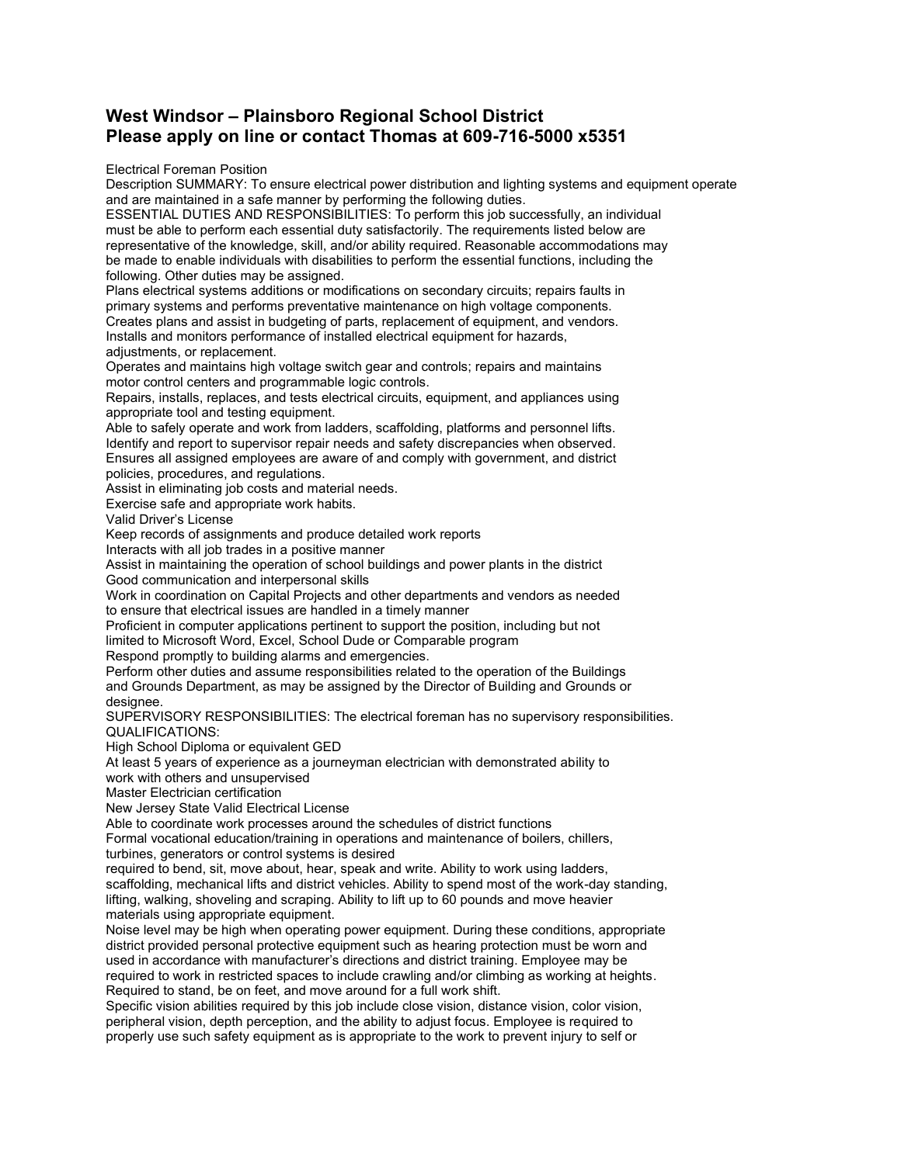## **West Windsor – Plainsboro Regional School District Please apply on line or contact Thomas at 609-716-5000 x5351**

Electrical Foreman Position

Description SUMMARY: To ensure electrical power distribution and lighting systems and equipment operate and are maintained in a safe manner by performing the following duties.

ESSENTIAL DUTIES AND RESPONSIBILITIES: To perform this job successfully, an individual must be able to perform each essential duty satisfactorily. The requirements listed below are representative of the knowledge, skill, and/or ability required. Reasonable accommodations may be made to enable individuals with disabilities to perform the essential functions, including the following. Other duties may be assigned.

Plans electrical systems additions or modifications on secondary circuits; repairs faults in primary systems and performs preventative maintenance on high voltage components. Creates plans and assist in budgeting of parts, replacement of equipment, and vendors. Installs and monitors performance of installed electrical equipment for hazards, adjustments, or replacement.

Operates and maintains high voltage switch gear and controls; repairs and maintains motor control centers and programmable logic controls.

Repairs, installs, replaces, and tests electrical circuits, equipment, and appliances using appropriate tool and testing equipment.

Able to safely operate and work from ladders, scaffolding, platforms and personnel lifts. Identify and report to supervisor repair needs and safety discrepancies when observed. Ensures all assigned employees are aware of and comply with government, and district policies, procedures, and regulations.

Assist in eliminating job costs and material needs.

Exercise safe and appropriate work habits.

Valid Driver's License

Keep records of assignments and produce detailed work reports

Interacts with all job trades in a positive manner

Assist in maintaining the operation of school buildings and power plants in the district Good communication and interpersonal skills

Work in coordination on Capital Projects and other departments and vendors as needed to ensure that electrical issues are handled in a timely manner

Proficient in computer applications pertinent to support the position, including but not

limited to Microsoft Word, Excel, School Dude or Comparable program

Respond promptly to building alarms and emergencies.

Perform other duties and assume responsibilities related to the operation of the Buildings and Grounds Department, as may be assigned by the Director of Building and Grounds or designee.

SUPERVISORY RESPONSIBILITIES: The electrical foreman has no supervisory responsibilities. QUALIFICATIONS:

High School Diploma or equivalent GED

At least 5 years of experience as a journeyman electrician with demonstrated ability to work with others and unsupervised

Master Electrician certification

New Jersey State Valid Electrical License

Able to coordinate work processes around the schedules of district functions

Formal vocational education/training in operations and maintenance of boilers, chillers, turbines, generators or control systems is desired

required to bend, sit, move about, hear, speak and write. Ability to work using ladders, scaffolding, mechanical lifts and district vehicles. Ability to spend most of the work-day standing, lifting, walking, shoveling and scraping. Ability to lift up to 60 pounds and move heavier materials using appropriate equipment.

Noise level may be high when operating power equipment. During these conditions, appropriate district provided personal protective equipment such as hearing protection must be worn and used in accordance with manufacturer's directions and district training. Employee may be required to work in restricted spaces to include crawling and/or climbing as working at heights. Required to stand, be on feet, and move around for a full work shift.

Specific vision abilities required by this job include close vision, distance vision, color vision, peripheral vision, depth perception, and the ability to adjust focus. Employee is required to properly use such safety equipment as is appropriate to the work to prevent injury to self or